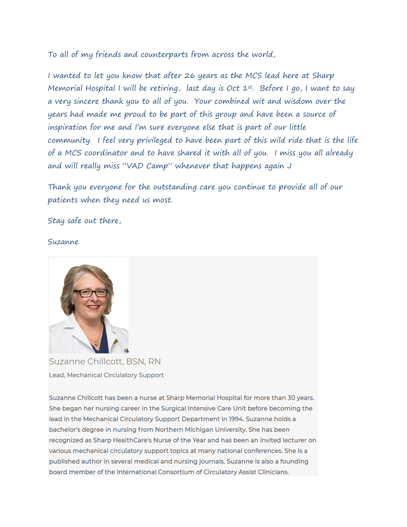To all of my friends and counterparts from across the world,

I wanted to let you know that after 26 years as the MCS lead here at Sharp Memorial Hospital I will be retiring, last day is Oct 1st. Before I go, I want to say a very sincere thank you to all of you. Your combined wit and wisdom over the years had made me proud to be part of this group and have been a source of inspiration for me and I'm sure everyone else that is part of our little community. I feel very privileged to have been part of this wild ride that is the life of a MCS coordinator and to have shared it with all of you. I miss you all already and will really miss "VAD Camp" whenever that happens again J

Thank you everyone for the outstanding care you continue to provide all of our patients when they need us most.

Stay safe out there,

Suzanne



Suzanne Chillcott, BSN, RN Lead, Mechanical Circulatory Support

Suzanne Chillcott has been a nurse at Sharp Memorial Hospital for more than 30 years. She began her nursing career in the Surgical Intensive Care Unit before becoming the lead in the Mechanical Circulatory Support Department in 1994. Suzanne holds a bachelor's degree in nursing from Northern Michigan University. She has been recognized as Sharp HealthCare's Nurse of the Year and has been an invited lecturer on various mechanical circulatory support topics at many national conferences. She is a published author in several medical and nursing journals. Suzanne is also a founding board member of the International Consortium of Circulatory Assist Clinicians.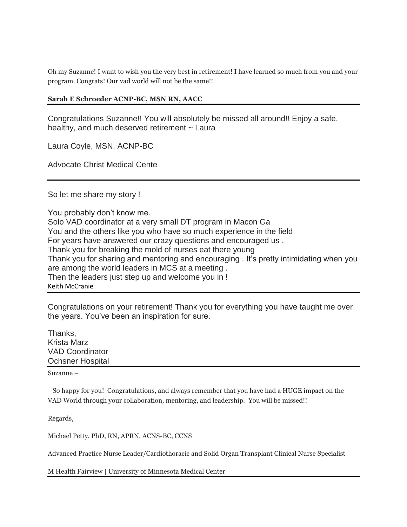Oh my Suzanne! I want to wish you the very best in retirement! I have learned so much from you and your program. Congrats! Our vad world will not be the same!!

## **Sarah E Schroeder ACNP-BC, MSN RN, AACC**

Congratulations Suzanne!! You will absolutely be missed all around!! Enjoy a safe, healthy, and much deserved retirement ~ Laura

Laura Coyle, MSN, ACNP-BC

Advocate Christ Medical Cente

So let me share my story !

You probably don't know me. Solo VAD coordinator at a very small DT program in Macon Ga You and the others like you who have so much experience in the field For years have answered our crazy questions and encouraged us . Thank you for breaking the mold of nurses eat there young Thank you for sharing and mentoring and encouraging . It's pretty intimidating when you are among the world leaders in MCS at a meeting . Then the leaders just step up and welcome you in ! Keith McCranie

Congratulations on your retirement! Thank you for everything you have taught me over the years. You've been an inspiration for sure.

Thanks, Krista Marz VAD Coordinator Ochsner Hospital

Suzanne –

 So happy for you! Congratulations, and always remember that you have had a HUGE impact on the VAD World through your collaboration, mentoring, and leadership. You will be missed!!

Regards,

Michael Petty, PhD, RN, APRN, ACNS-BC, CCNS

Advanced Practice Nurse Leader/Cardiothoracic and Solid Organ Transplant Clinical Nurse Specialist

M Health Fairview | University of Minnesota Medical Center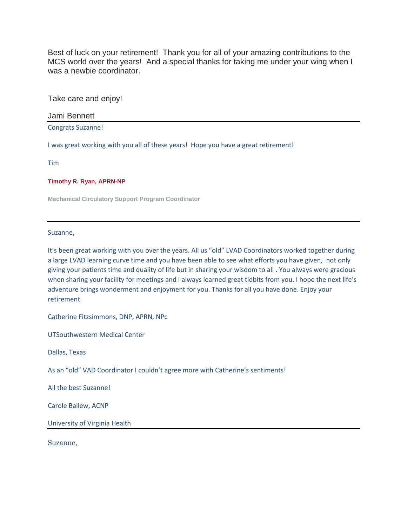Best of luck on your retirement! Thank you for all of your amazing contributions to the MCS world over the years! And a special thanks for taking me under your wing when I was a newbie coordinator.

Take care and enjoy!

Jami Bennett

Congrats Suzanne!

I was great working with you all of these years! Hope you have a great retirement!

Tim

**Timothy R. Ryan, APRN-NP**

**Mechanical Circulatory Support Program Coordinator**

Suzanne,

It's been great working with you over the years. All us "old" LVAD Coordinators worked together during a large LVAD learning curve time and you have been able to see what efforts you have given, not only giving your patients time and quality of life but in sharing your wisdom to all . You always were gracious when sharing your facility for meetings and I always learned great tidbits from you. I hope the next life's adventure brings wonderment and enjoyment for you. Thanks for all you have done. Enjoy your retirement.

Catherine Fitzsimmons, DNP, APRN, NPc

UTSouthwestern Medical Center

Dallas, Texas

As an "old" VAD Coordinator I couldn't agree more with Catherine's sentiments!

All the best Suzanne!

Carole Ballew, ACNP

University of Virginia Health

Suzanne,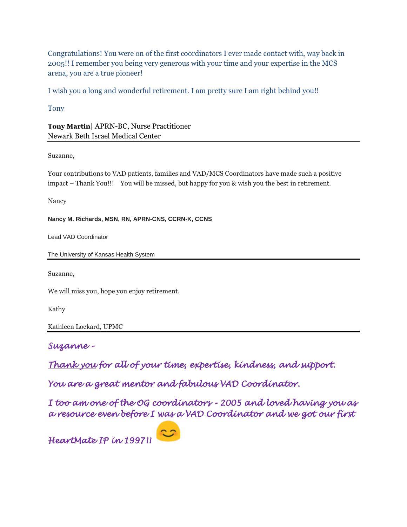Congratulations! You were on of the first coordinators I ever made contact with, way back in 2005!! I remember you being very generous with your time and your expertise in the MCS arena, you are a true pioneer!

I wish you a long and wonderful retirement. I am pretty sure I am right behind you!!

Tony

**Tony Martin**| APRN-BC, Nurse Practitioner Newark Beth Israel Medical Center

Suzanne,

Your contributions to VAD patients, families and VAD/MCS Coordinators have made such a positive impact – Thank You!!! You will be missed, but happy for you & wish you the best in retirement.

Nancy

**Nancy M. Richards, MSN, RN, APRN-CNS, CCRN-K, CCNS**

Lead VAD Coordinator

The University of Kansas Health System

Suzanne,

We will miss you, hope you enjoy retirement.

Kathy

Kathleen Lockard, UPMC

*Suzanne –*

*Thank you for all of your time, expertise, kindness, and support.*

*You are a great mentor and fabulous VAD Coordinator.*

*I too am one of the OG coordinators – 2005 and loved having you as a resource even before I was a VAD Coordinator and we got our first* 

*HeartMate IP in 1997!!*